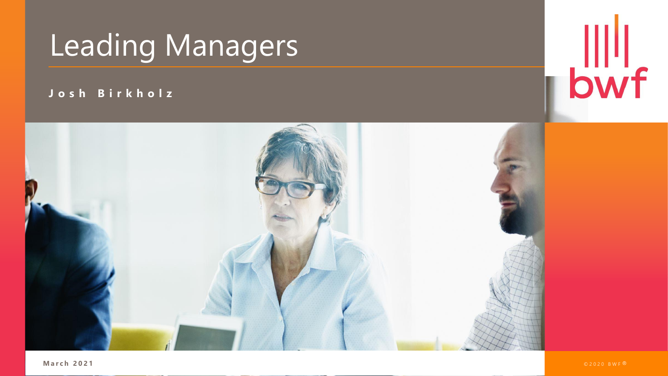

#### **J o s h B i r k h o l z**



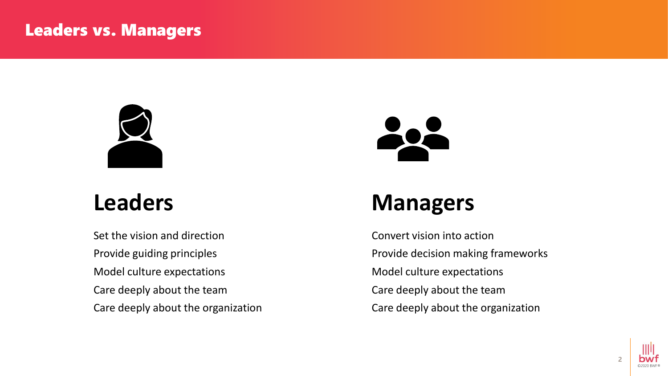#### Leaders vs. Managers



#### **Leaders**

Set the vision and direction Provide guiding principles Model culture expectations Care deeply about the team Care deeply about the organization



### **Managers**

Convert vision into action Provide decision making frameworks Model culture expectations Care deeply about the team Care deeply about the organization

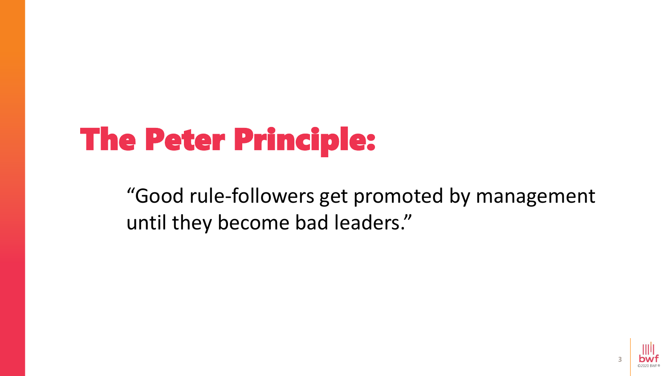# The Peter Principle:

"Good rule-followers get promoted by management until they become bad leaders."

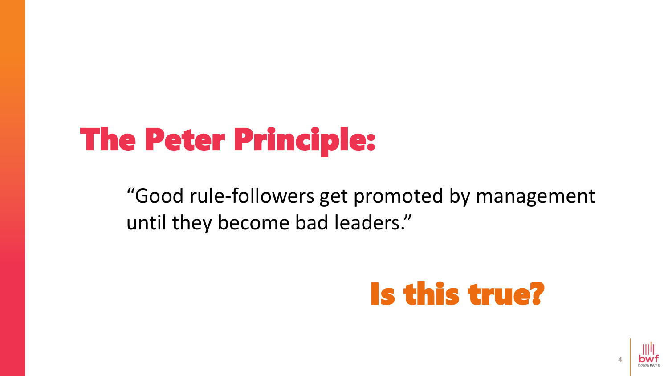# The Peter Principle:

"Good rule-followers get promoted by management until they become bad leaders."

## Is this true?

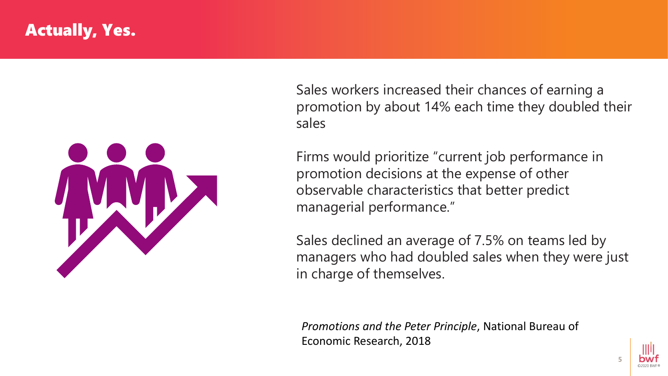#### Actually, Yes.



Sales workers increased their chances of earning a promotion by about 14% each time they doubled their sales

Firms would prioritize "current job performance in promotion decisions at the expense of other observable characteristics that better predict managerial performance."

Sales declined an average of 7.5% on teams led by managers who had doubled sales when they were just in charge of themselves.

*Promotions and the Peter Principle*, National Bureau of Economic Research, 2018

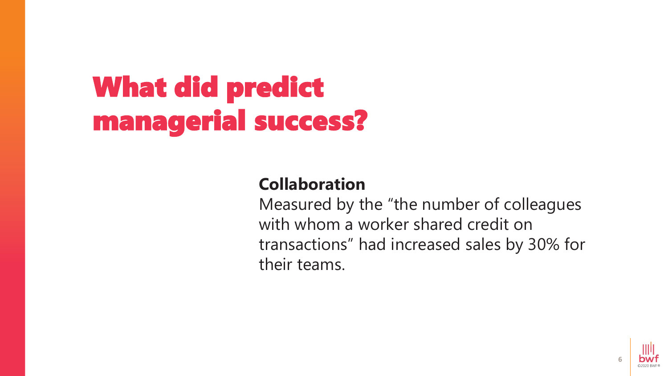# What did predict managerial success?

#### **Collaboration**

Measured by the "the number of colleagues with whom a worker shared credit on transactions" had increased sales by 30% for their teams.

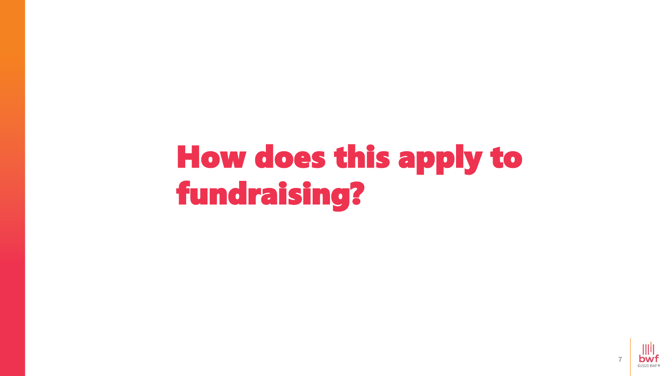# How does this apply to fundraising?

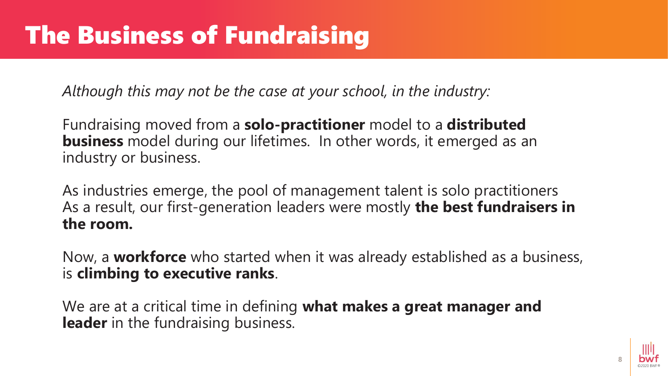*Although this may not be the case at your school, in the industry:*

Fundraising moved from a **solo-practitioner** model to a **distributed business** model during our lifetimes. In other words, it emerged as an industry or business.

As industries emerge, the pool of management talent is solo practitioners As a result, our first-generation leaders were mostly **the best fundraisers in the room.** 

Now, a **workforce** who started when it was already established as a business, is **climbing to executive ranks**.

We are at a critical time in defining **what makes a great manager and leader** in the fundraising business.

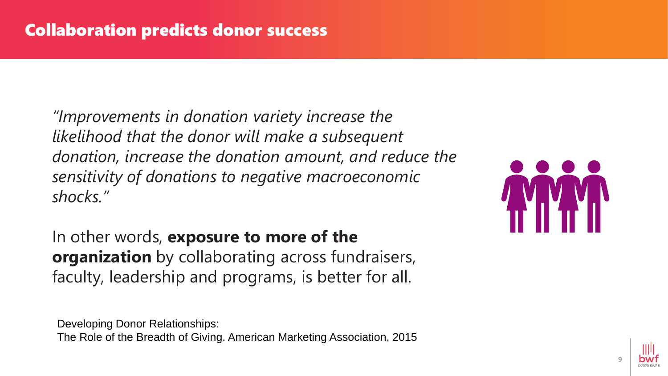*"Improvements in donation variety increase the likelihood that the donor will make a subsequent donation, increase the donation amount, and reduce the sensitivity of donations to negative macroeconomic shocks."* 

In other words, **exposure to more of the organization** by collaborating across fundraisers, faculty, leadership and programs, is better for all.

Developing Donor Relationships: The Role of the Breadth of Giving. American Marketing Association, 2015



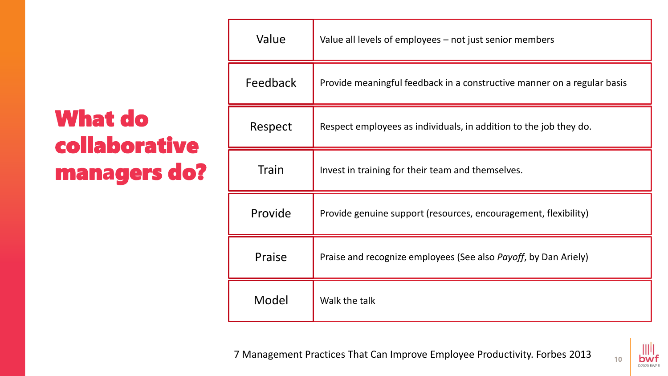## What do collaborative managers do?

| Value    | Value all levels of employees - not just senior members                 |
|----------|-------------------------------------------------------------------------|
| Feedback | Provide meaningful feedback in a constructive manner on a regular basis |
| Respect  | Respect employees as individuals, in addition to the job they do.       |
| Train    | Invest in training for their team and themselves.                       |
| Provide  | Provide genuine support (resources, encouragement, flexibility)         |
| Praise   | Praise and recognize employees (See also Payoff, by Dan Ariely)         |
| Model    | Walk the talk                                                           |

7 Management Practices That Can Improve Employee Productivity. Forbes 2013

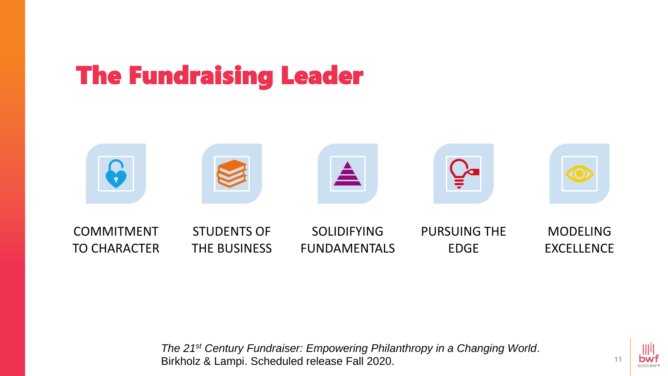## The Fundraising Leader



*The 21st Century Fundraiser: Empowering Philanthropy in a Changing World*. Birkholz & Lampi. Scheduled release Fall 2020.

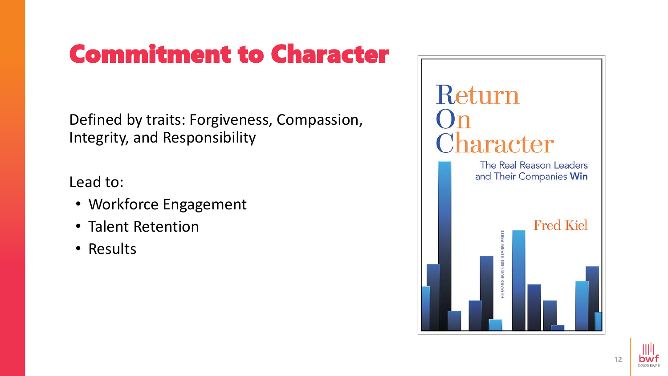## Commitment to Character

Defined by traits: Forgiveness, Compassion, Integrity, and Responsibility

Lead to:

- Workforce Engagement
- Talent Retention
- Results



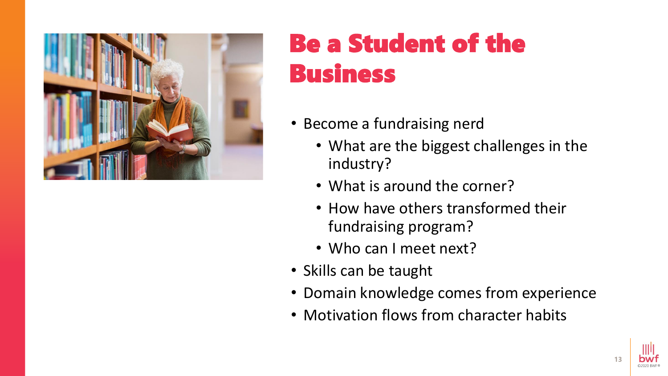

## Be a Student of the Business

- Become a fundraising nerd
	- What are the biggest challenges in the industry?
	- What is around the corner?
	- How have others transformed their fundraising program?
	- Who can I meet next?
- Skills can be taught
- Domain knowledge comes from experience
- Motivation flows from character habits

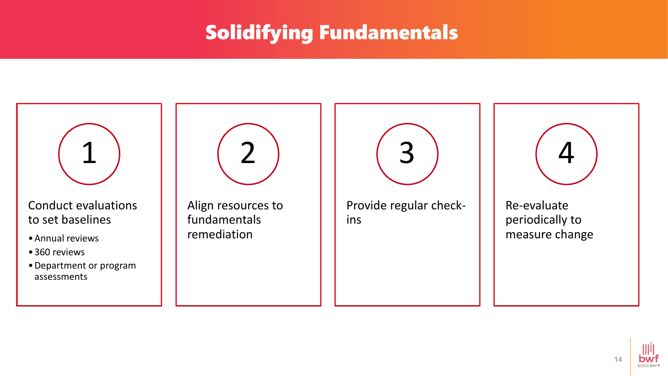### Solidifying Fundamentals



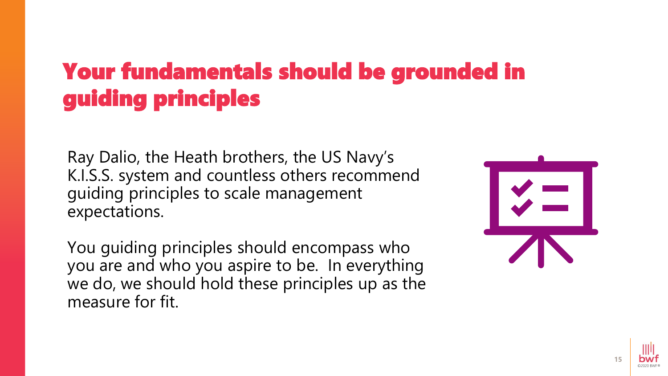## Your fundamentals should be grounded in guiding principles

Ray Dalio, the Heath brothers, the US Navy's K.I.S.S. system and countless others recommend guiding principles to scale management expectations.

You guiding principles should encompass who you are and who you aspire to be. In everything we do, we should hold these principles up as the measure for fit.



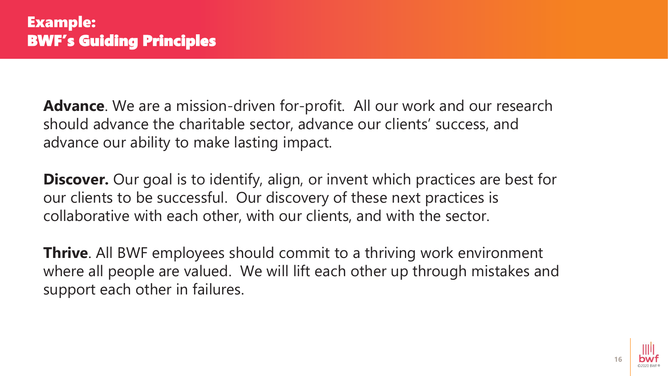**Advance**. We are a mission-driven for-profit. All our work and our research should advance the charitable sector, advance our clients' success, and advance our ability to make lasting impact.

**Discover.** Our goal is to identify, align, or invent which practices are best for our clients to be successful. Our discovery of these next practices is collaborative with each other, with our clients, and with the sector.

**Thrive**. All BWF employees should commit to a thriving work environment where all people are valued. We will lift each other up through mistakes and support each other in failures.

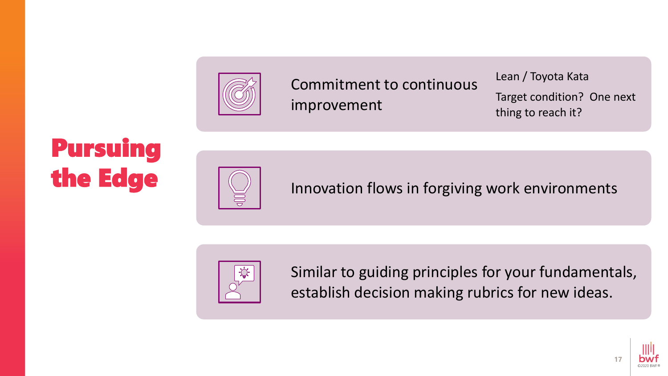

Commitment to continuous improvement

Lean / Toyota Kata Target condition? One next thing to reach it?

## Pursuing the Edge



Innovation flows in forgiving work environments



Similar to guiding principles for your fundamentals, establish decision making rubrics for new ideas.

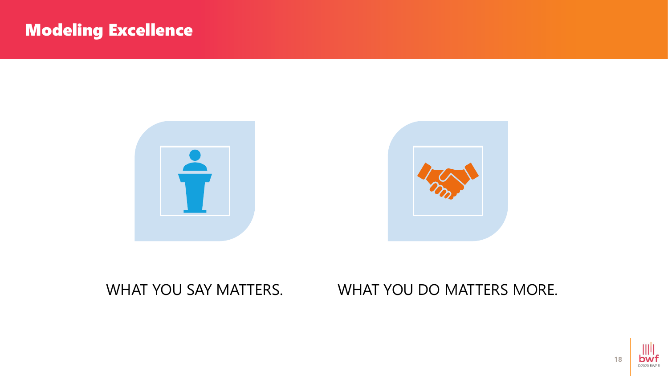#### Modeling Excellence



#### WHAT YOU SAY MATTERS. WHAT YOU DO MATTERS MORE.

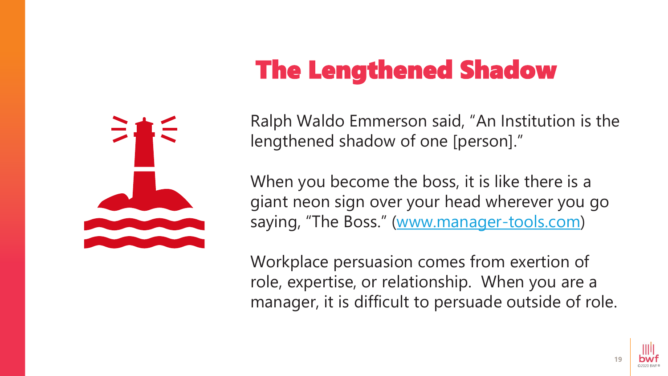## The Lengthened Shadow



Ralph Waldo Emmerson said, "An Institution is the lengthened shadow of one [person]."

When you become the boss, it is like there is a giant neon sign over your head wherever you go saying, "The Boss." ([www.manager-tools.com](http://www.manager-tools.com/))

Workplace persuasion comes from exertion of role, expertise, or relationship. When you are a manager, it is difficult to persuade outside of role.

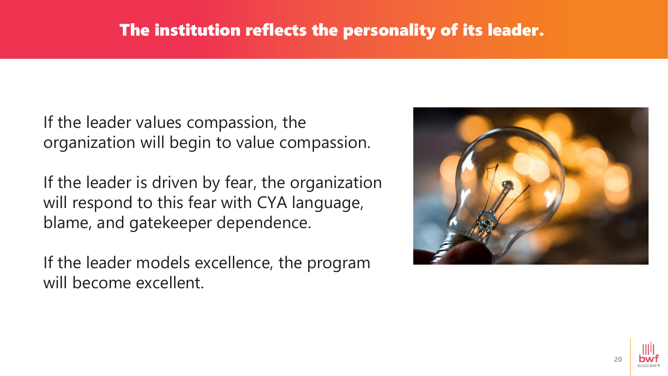#### The institution reflects the personality of its leader.

If the leader values compassion, the organization will begin to value compassion.

If the leader is driven by fear, the organization will respond to this fear with CYA language, blame, and gatekeeper dependence.

If the leader models excellence, the program will become excellent.



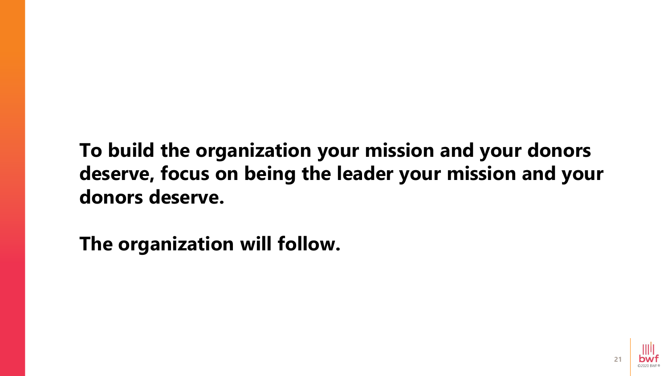**To build the organization your mission and your donors deserve, focus on being the leader your mission and your donors deserve.** 

**The organization will follow.**